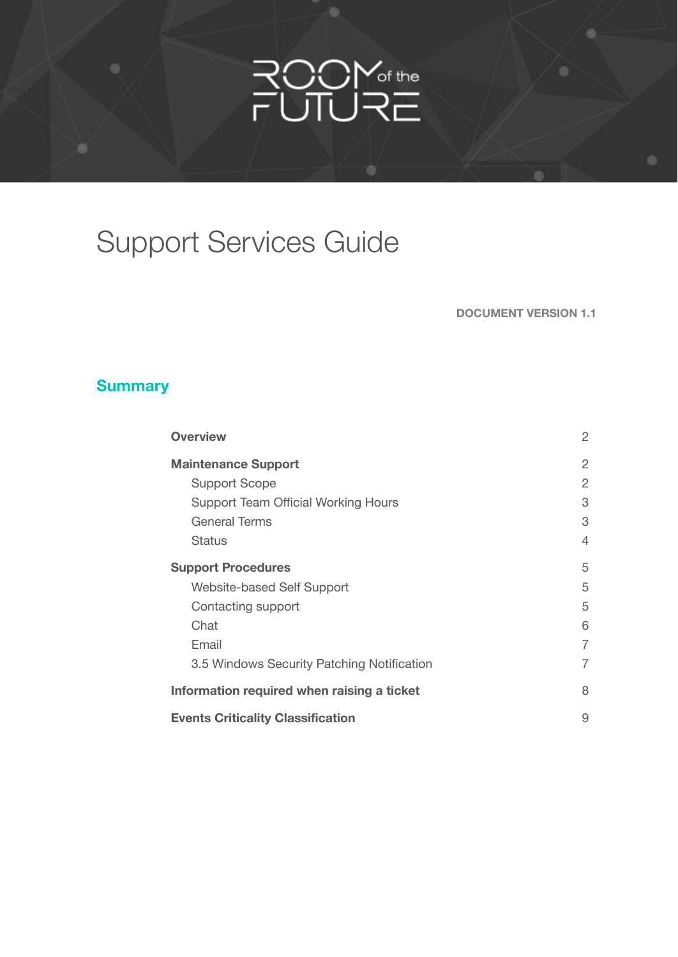# ROOM<sub>of the</sub><br>FUTURE

# Support Services Guide

**DOCUMENT VERSION 1.1**

#### **Summary**

| <b>Overview</b>                            | $\overline{2}$ |
|--------------------------------------------|----------------|
| <b>Maintenance Support</b>                 | 2              |
| <b>Support Scope</b>                       | $\overline{2}$ |
| <b>Support Team Official Working Hours</b> | 3              |
| <b>General Terms</b>                       | 3              |
| <b>Status</b>                              | 4              |
| <b>Support Procedures</b>                  | 5              |
| Website-based Self Support                 | 5              |
| Contacting support                         | 5              |
| Chat                                       | 6              |
| Email                                      | 7              |
| 3.5 Windows Security Patching Notification | 7              |
| Information required when raising a ticket | 8              |
| <b>Events Criticality Classification</b>   | 9              |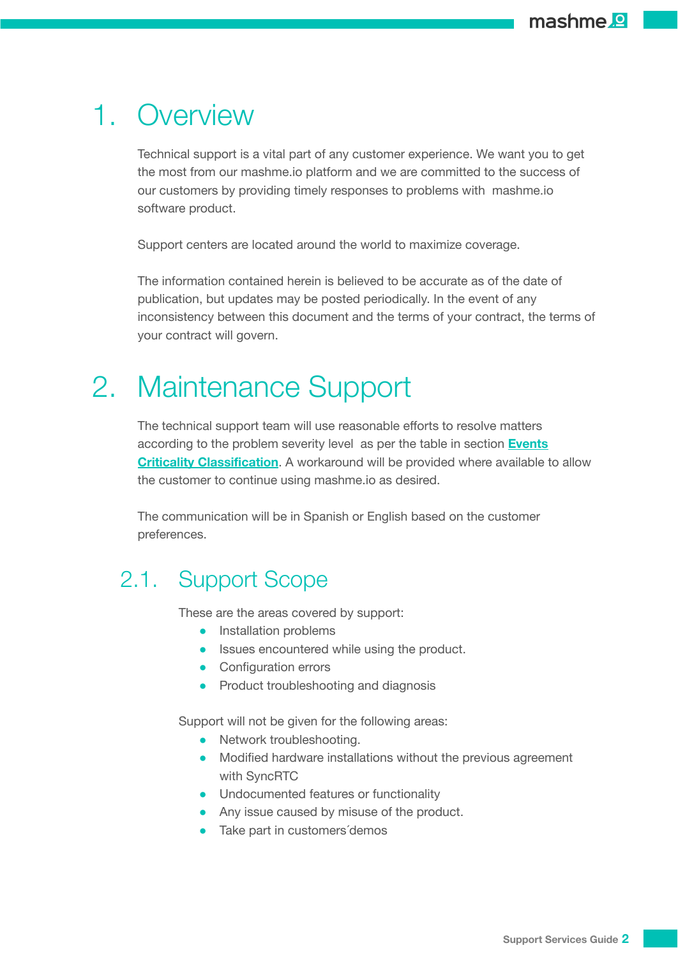## <span id="page-1-0"></span>1. Overview

Technical support is a vital part of any customer experience. We want you to get the most from our mashme.io platform and we are committed to the success of our customers by providing timely responses to problems with mashme.io software product.

Support centers are located around the world to maximize coverage.

The information contained herein is believed to be accurate as of the date of publication, but updates may be posted periodically. In the event of any inconsistency between this document and the terms of your contract, the terms of your contract will govern.

## <span id="page-1-1"></span>2. Maintenance Support

The technical support team will use reasonable efforts to resolve matters according to the problem severity level as per the table in section **[Events](#page-8-0) Criticality [Classification](#page-8-0)**. A workaround will be provided where available to allow the customer to continue using mashme.io as desired.

The communication will be in Spanish or English based on the customer preferences.

## <span id="page-1-2"></span>2.1. Support Scope

These are the areas covered by support:

- Installation problems
- Issues encountered while using the product.
- Configuration errors
- Product troubleshooting and diagnosis

Support will not be given for the following areas:

- Network troubleshooting.
- Modified hardware installations without the previous agreement with SyncRTC
- Undocumented features or functionality
- Any issue caused by misuse of the product.
- Take part in customers'demos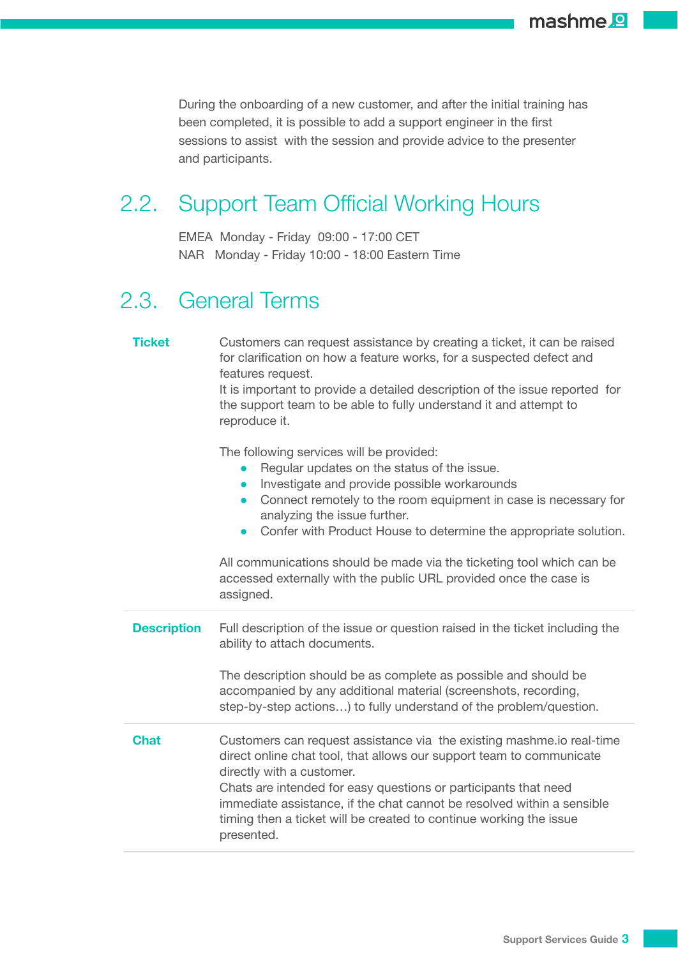During the onboarding of a new customer, and after the initial training has been completed, it is possible to add a support engineer in the first sessions to assist with the session and provide advice to the presenter and participants.

## <span id="page-2-0"></span>2.2. Support Team Official Working Hours

EMEA Monday - Friday 09:00 - 17:00 CET NAR Monday - Friday 10:00 - 18:00 Eastern Time

## <span id="page-2-1"></span>2.3. General Terms

| <b>Ticket</b>      | Customers can request assistance by creating a ticket, it can be raised<br>for clarification on how a feature works, for a suspected defect and<br>features request.<br>It is important to provide a detailed description of the issue reported for<br>the support team to be able to fully understand it and attempt to<br>reproduce it.                                                                                                                                                                        |
|--------------------|------------------------------------------------------------------------------------------------------------------------------------------------------------------------------------------------------------------------------------------------------------------------------------------------------------------------------------------------------------------------------------------------------------------------------------------------------------------------------------------------------------------|
|                    | The following services will be provided:<br>Regular updates on the status of the issue.<br>Investigate and provide possible workarounds<br>$\bullet$<br>Connect remotely to the room equipment in case is necessary for<br>$\bullet$<br>analyzing the issue further.<br>Confer with Product House to determine the appropriate solution.<br>$\bullet$<br>All communications should be made via the ticketing tool which can be<br>accessed externally with the public URL provided once the case is<br>assigned. |
| <b>Description</b> | Full description of the issue or question raised in the ticket including the<br>ability to attach documents.                                                                                                                                                                                                                                                                                                                                                                                                     |
|                    | The description should be as complete as possible and should be<br>accompanied by any additional material (screenshots, recording,<br>step-by-step actions) to fully understand of the problem/question.                                                                                                                                                                                                                                                                                                         |
| <b>Chat</b>        | Customers can request assistance via the existing mashme.io real-time<br>direct online chat tool, that allows our support team to communicate<br>directly with a customer.<br>Chats are intended for easy questions or participants that need<br>immediate assistance, if the chat cannot be resolved within a sensible<br>timing then a ticket will be created to continue working the issue<br>presented.                                                                                                      |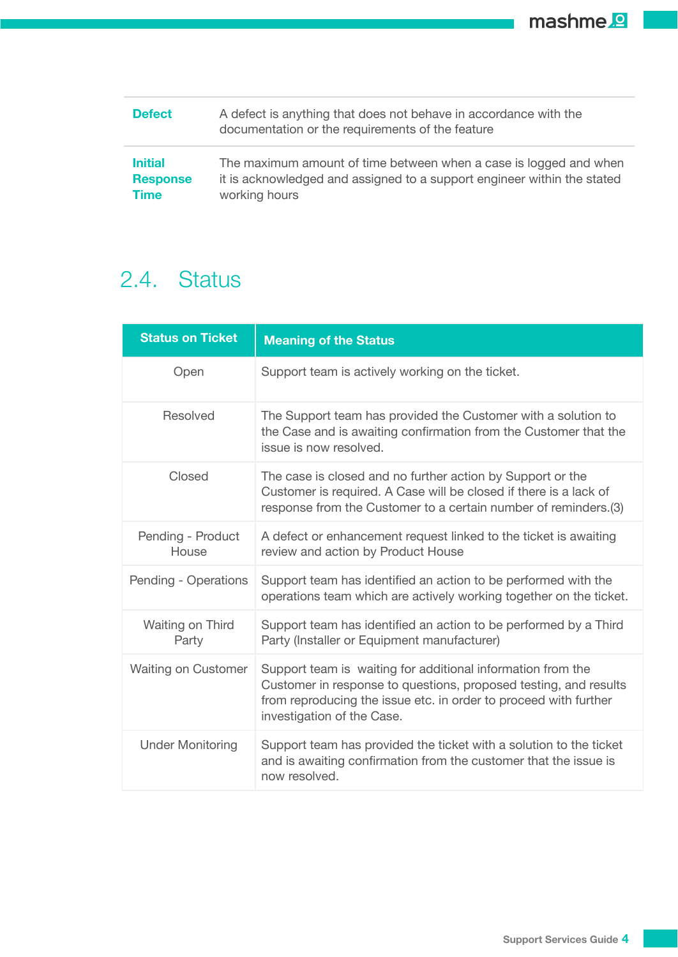mashme<sup>2</sup>

| <b>Defect</b>   | A defect is anything that does not behave in accordance with the<br>documentation or the requirements of the feature |
|-----------------|----------------------------------------------------------------------------------------------------------------------|
| <b>Initial</b>  | The maximum amount of time between when a case is logged and when                                                    |
| <b>Response</b> | it is acknowledged and assigned to a support engineer within the stated                                              |
| <b>Time</b>     | working hours                                                                                                        |

## <span id="page-3-0"></span>2.4. Status

| <b>Status on Ticket</b>    | <b>Meaning of the Status</b>                                                                                                                                                                                                      |
|----------------------------|-----------------------------------------------------------------------------------------------------------------------------------------------------------------------------------------------------------------------------------|
| Open                       | Support team is actively working on the ticket.                                                                                                                                                                                   |
| Resolved                   | The Support team has provided the Customer with a solution to<br>the Case and is awaiting confirmation from the Customer that the<br>issue is now resolved.                                                                       |
| Closed                     | The case is closed and no further action by Support or the<br>Customer is required. A Case will be closed if there is a lack of<br>response from the Customer to a certain number of reminders. (3)                               |
| Pending - Product<br>House | A defect or enhancement request linked to the ticket is awaiting<br>review and action by Product House                                                                                                                            |
| Pending - Operations       | Support team has identified an action to be performed with the<br>operations team which are actively working together on the ticket.                                                                                              |
| Waiting on Third<br>Party  | Support team has identified an action to be performed by a Third<br>Party (Installer or Equipment manufacturer)                                                                                                                   |
| <b>Waiting on Customer</b> | Support team is waiting for additional information from the<br>Customer in response to questions, proposed testing, and results<br>from reproducing the issue etc. in order to proceed with further<br>investigation of the Case. |
| <b>Under Monitoring</b>    | Support team has provided the ticket with a solution to the ticket<br>and is awaiting confirmation from the customer that the issue is<br>now resolved.                                                                           |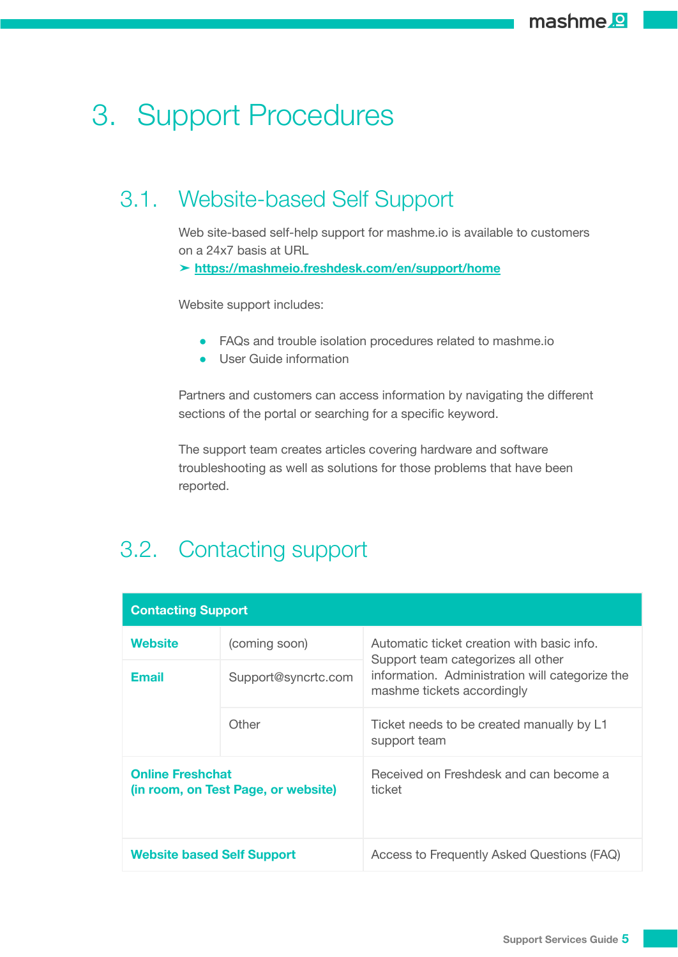## <span id="page-4-0"></span>3. Support Procedures

## <span id="page-4-1"></span>3.1. Website-based Self Support

Web site-based self-help support for mashme.io is available to customers on a 24x7 basis at URL

➤ **<https://mashmeio.freshdesk.com/en/support/home>**

Website support includes:

- FAQs and trouble isolation procedures related to mashme.io
- User Guide information

Partners and customers can access information by navigating the different sections of the portal or searching for a specific keyword.

The support team creates articles covering hardware and software troubleshooting as well as solutions for those problems that have been reported.

## <span id="page-4-2"></span>3.2. Contacting support

| <b>Contacting Support</b>                                      |                     |                                                                                  |  |
|----------------------------------------------------------------|---------------------|----------------------------------------------------------------------------------|--|
| Website                                                        | (coming soon)       | Automatic ticket creation with basic info.<br>Support team categorizes all other |  |
| Email                                                          | Support@syncrtc.com | information. Administration will categorize the<br>mashme tickets accordingly    |  |
|                                                                | Other               | Ticket needs to be created manually by L1<br>support team                        |  |
| <b>Online Freshchat</b><br>(in room, on Test Page, or website) |                     | Received on Freshdesk and can become a<br>ticket                                 |  |
| <b>Website based Self Support</b>                              |                     | Access to Frequently Asked Questions (FAQ)                                       |  |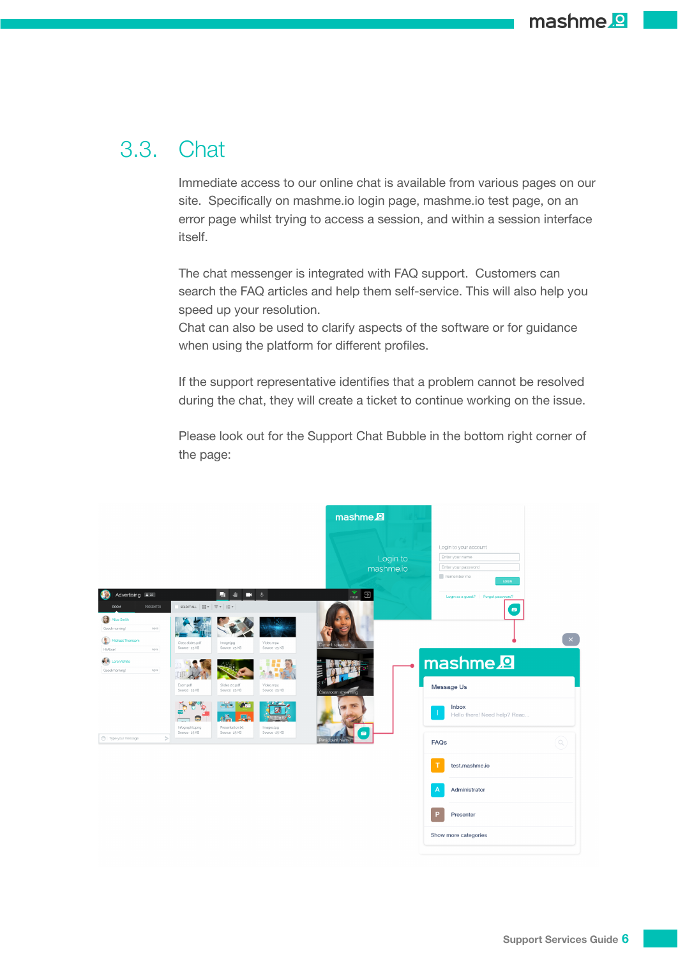## <span id="page-5-0"></span>3.3. Chat

Immediate access to our online chat is available from various pages on our site. Specifically on mashme.io login page, mashme.io test page, on an error page whilst trying to access a session, and within a session interface itself.

The chat messenger is integrated with FAQ support. Customers can search the FAQ articles and help them self-service. This will also help you speed up your resolution.

Chat can also be used to clarify aspects of the software or for guidance when using the platform for different profiles.

If the support representative identifies that a problem cannot be resolved during the chat, they will create a ticket to continue working on the issue.

Please look out for the Support Chat Bubble in the bottom right corner of the page:

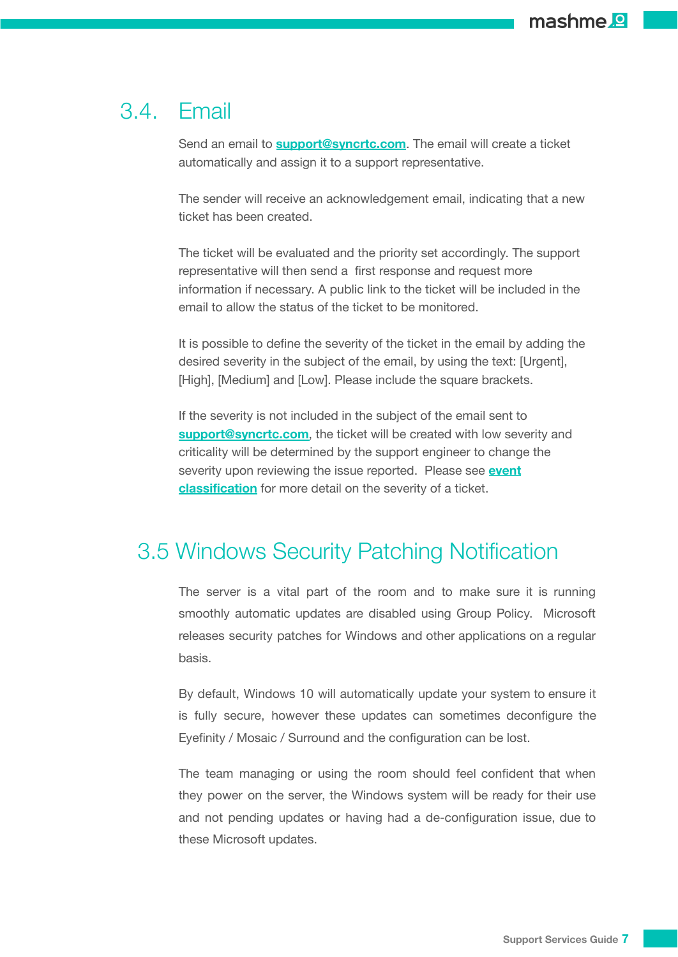#### <span id="page-6-0"></span>3.4. Email

Send an email to **[support@syncrtc.com](mailto:support@syncrtc.com)**. The email will create a ticket automatically and assign it to a support representative.

The sender will receive an acknowledgement email, indicating that a new ticket has been created.

The ticket will be evaluated and the priority set accordingly. The support representative will then send a first response and request more information if necessary. A public link to the ticket will be included in the email to allow the status of the ticket to be monitored.

It is possible to define the severity of the ticket in the email by adding the desired severity in the subject of the email, by using the text: [Urgent], [High], [Medium] and [Low]. Please include the square brackets.

If the severity is not included in the subject of the email sent to **[support@syncrtc.com](mailto:support@syncrtc.com)**, the ticket will be created with low severity and criticality will be determined by the support engineer to change the severity upon reviewing the issue reported. Please see **[event](#page-8-0) [classification](#page-8-0)** for more detail on the severity of a ticket.

#### <span id="page-6-1"></span>3.5 Windows Security Patching Notification

The server is a vital part of the room and to make sure it is running smoothly automatic updates are disabled using Group Policy. Microsoft releases security patches for Windows and other applications on a regular basis.

By default, Windows 10 will automatically update your system to ensure it is fully secure, however these updates can sometimes deconfigure the Eyefinity / Mosaic / Surround and the configuration can be lost.

The team managing or using the room should feel confident that when they power on the server, the Windows system will be ready for their use and not pending updates or having had a de-configuration issue, due to these Microsoft updates.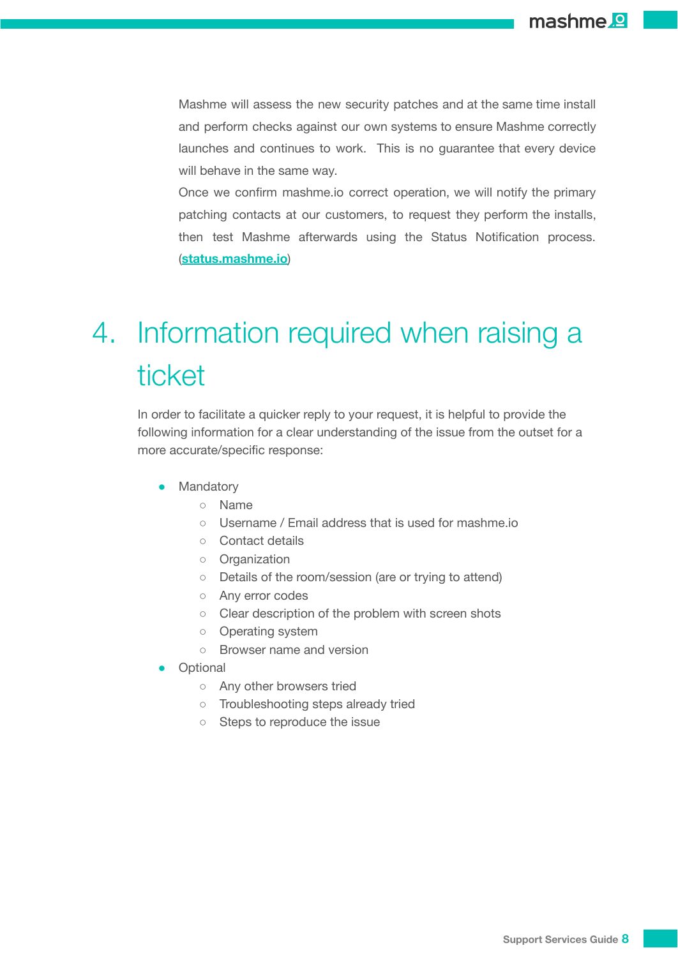Mashme will assess the new security patches and at the same time install and perform checks against our own systems to ensure Mashme correctly launches and continues to work. This is no guarantee that every device will behave in the same way.

Once we confirm mashme.io correct operation, we will notify the primary patching contacts at our customers, to request they perform the installs, then test Mashme afterwards using the Status Notification process. (**status.mashme.io**)

# <span id="page-7-0"></span>4. Information required when raising a ticket

In order to facilitate a quicker reply to your request, it is helpful to provide the following information for a clear understanding of the issue from the outset for a more accurate/specific response:

- Mandatory
	- Name
	- Username / Email address that is used for mashme.io
	- Contact details
	- Organization
	- Details of the room/session (are or trying to attend)
	- Any error codes
	- Clear description of the problem with screen shots
	- Operating system
	- Browser name and version
- Optional
	- Any other browsers tried
	- Troubleshooting steps already tried
	- Steps to reproduce the issue